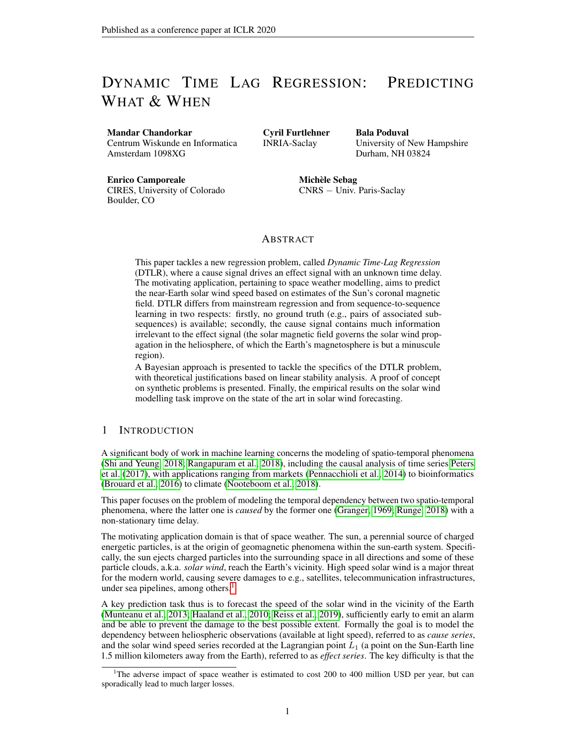# DYNAMIC TIME LAG REGRESSION: PREDICTING WHAT & WHEN

#### Mandar Chandorkar

Centrum Wiskunde en Informatica Amsterdam 1098XG

Cyril Furtlehner INRIA-Saclay

Bala Poduval University of New Hampshire Durham, NH 03824

Enrico Camporeale

CIRES, University of Colorado Boulder, CO

Michèle Sebag CNRS − Univ. Paris-Saclay

# ABSTRACT

This paper tackles a new regression problem, called *Dynamic Time-Lag Regression* (DTLR), where a cause signal drives an effect signal with an unknown time delay. The motivating application, pertaining to space weather modelling, aims to predict the near-Earth solar wind speed based on estimates of the Sun's coronal magnetic field. DTLR differs from mainstream regression and from sequence-to-sequence learning in two respects: firstly, no ground truth (e.g., pairs of associated subsequences) is available; secondly, the cause signal contains much information irrelevant to the effect signal (the solar magnetic field governs the solar wind propagation in the heliosphere, of which the Earth's magnetosphere is but a minuscule region).

A Bayesian approach is presented to tackle the specifics of the DTLR problem, with theoretical justifications based on linear stability analysis. A proof of concept on synthetic problems is presented. Finally, the empirical results on the solar wind modelling task improve on the state of the art in solar wind forecasting.

## 1 INTRODUCTION

A significant body of work in machine learning concerns the modeling of spatio-temporal phenomena (Shi and Yeung, 2018; Rangapuram et al., 2018), including the causal analysis of time series Peters et al. (2017), with applications ranging from markets (Pennacchioli et al., 2014) to bioinformatics (Brouard et al., 2016) to climate (Nooteboom et al., 2018).

This paper focuses on the problem of modeling the temporal dependency between two spatio-temporal phenomena, where the latter one is *caused* by the former one (Granger, 1969; Runge, 2018) with a non-stationary time delay.

The motivating application domain is that of space weather. The sun, a perennial source of charged energetic particles, is at the origin of geomagnetic phenomena within the sun-earth system. Specifically, the sun ejects charged particles into the surrounding space in all directions and some of these particle clouds, a.k.a. *solar wind*, reach the Earth's vicinity. High speed solar wind is a major threat for the modern world, causing severe damages to e.g., satellites, telecommunication infrastructures, under sea pipelines, among others. $<sup>1</sup>$ </sup>

A key prediction task thus is to forecast the speed of the solar wind in the vicinity of the Earth (Munteanu et al., 2013; Haaland et al., 2010; Reiss et al., 2019), sufficiently early to emit an alarm and be able to prevent the damage to the best possible extent. Formally the goal is to model the dependency between heliospheric observations (available at light speed), referred to as *cause series*, and the solar wind speed series recorded at the Lagrangian point  $L_1$  (a point on the Sun-Earth line 1.5 million kilometers away from the Earth), referred to as *effect series*. The key difficulty is that the

<sup>&</sup>lt;sup>1</sup>The adverse impact of space weather is estimated to cost 200 to 400 million USD per year, but can sporadically lead to much larger losses.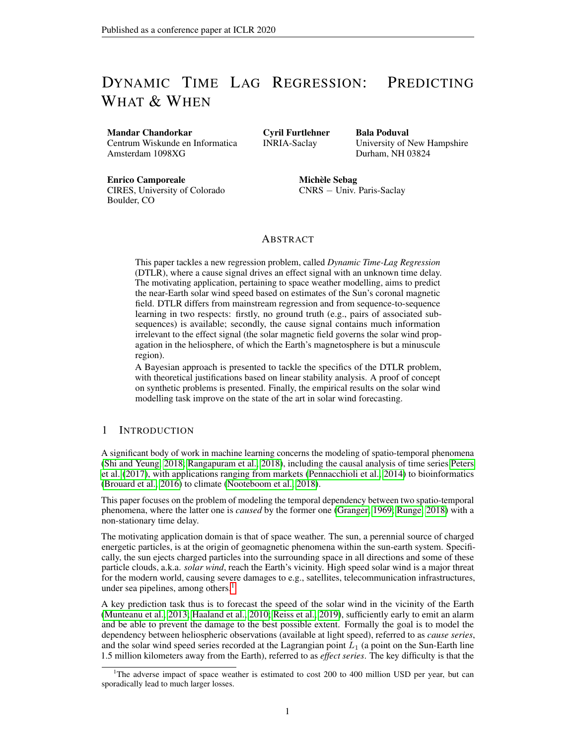time lag between an input and its effect, the solar wind recorded at  $L_1$ , varies from circa 2 to 5 days depending on, among many factors, the initial direction of emitted particles and their energy. Would the lag be constant, the solar wind prediction problem would boil down to a mainstream regression problem. The challenge here is to predict, from the solar image  $x(t)$  at time t the value  $y(t + t)$  of the solar wind speed reaching the earth at time  $t + t$  where both the value  $y(t + t)$  and the time lag  $t$  depend on  $x(t)$ .

Related work. Indeed, the modeling of dependencies among time series has been intensively tackled (see e.g., Zhou and Sornette (2006); Runge (2018)). When considering varying time lag, many approaches rely on dynamic time warping (DTW) (Sakoe and Chiba, 1978). For instance, DTW is used in Gaskell et al. (2015), taking a Bayesian approach to achieve the temporal alignment of both series under some restricting assumptions (considering slowly varying time lags and linear relationships between the cause and effect time series). More generally, the use of DTW in time series analysis relies on simplifying assumptions on the cause and effect series (same dimensionality and structure) and builds upon available cost matrices for the temporal alignment.

Also related is sequence-to-sequence learning (Sutskever et al., 2014), primarily aimed to machine translation. While Seq2Seq modelling relaxes some former assumptions (such as the fixed or comparable sizes of the source and target series), it still relies on the known segmentation of the source series into disjoint units (the sentences), each one being mapped into a large fixed-size vector using an LSTM; and this vector is exploited by another LSTM to extract the output sequence. Attention-based mechanisms Graves (2013); Bahdanau et al. (2015) alleviate the need to encode the full source sentence into a fixed-size vector, by learning the alignment and allowing the model to search for the parts of the source sentence relevant to predict a target part. More advanced attention mechanisms (Kim et al., 2017; Vaswani et al., 2017) refine the way the source information is leveraged to produce a target part. But to our best knowledge, the end-to-end learning of the sequence-to-sequence modelling relies on the segmentation of the source and target series, and the definition of associated pairs of segments (e.g. the sentences).

Our claim is that the regression problem of predicting both *what* the effect is and *when* the effect is observed, called *Dynamic TimeLag Regression* (DTLR), constitutes a new ML problem:

With respect to the modeling of dependencies among time series, it involves stochastic dependencies of arbitrary complexity; the relationship between the cause and the effect series can be non-linear (the *what* model). Furthermore, the time lag phenomenon (the *when* model) can be non smooth (as opposed to e.g. Zhou and Sornette (2006)).

With respect to sequence-to-sequence translation, a main difference is that the end-to-end training of the model cannot rely on pairs of associated units (the sentences), adversely affecting the alignment learning.

Lastly, and most importantly, in the considered DTLR problem, even if the cause series has high information content, only a small portion of it is relevant to the prediction of the effect series. On one hand, the cause series might be high dimensional (images) whereas the effect series is scalar; on the other hand, the cause series governs the solar wind speed in the whole heliosphere and not just in near-Earth space. In addition to avoiding typically one or two orders of magnitude expansion of an already large input signal dimension, inserting the time-lag inference explicitly in the model can also potentially improve its interpretability.

Organization of the paper. The Bayesian approach proposed to tackle the specifics of the DTLR regression problem is described in section 2; the associated learning equations are discussed, followed by a stability analysis and a proof of consistency (section 3). The algorithm is detailed in section 4. The experimental setting used to validate the approach is presented in section 5; the empirical validation on toy problems and on the real-world problem are discussed in section 6

## 2 PROBABILISTIC DYNAMICALLY DELAYED REGRESSION

## 2.1 POSITION OF THE PROBLEM

Given two time series, the cause series  $\mathbf{x}(t)$  ( $\mathbf{x}(t) \in \mathcal{X} \subset \mathbb{R}^D$ ) and the observed effect series  $y(t)$ , the sought model consists of a mapping  $f(.)$  which maps each input pattern  $\mathbf{x}(t)$  to an output  $y(\phi(t))$ , and a mapping  $g(.)$  which determines the time delay  $\phi(t) - t$  between the input and output patterns: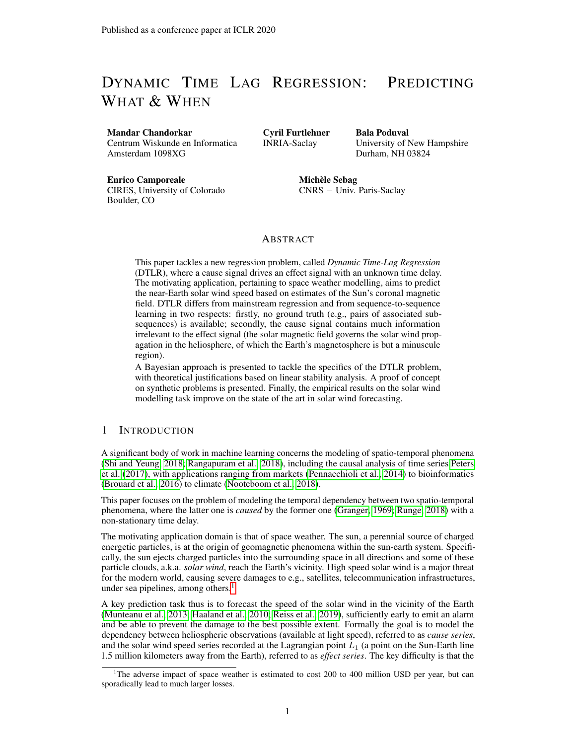$$
y(\phi(t)) = f[\mathbf{x}(t)] \tag{1}
$$

$$
\phi(t) = t + g[\mathbf{x}(t)] \tag{2}
$$

with

$$
f: \mathcal{X} \to \mathbb{R}
$$
, and  $g: \mathcal{X} \to \mathbb{R}^+$ ,

where  $t \in \mathbb{R}^+$  represents the continuous temporal domain. The input signal  $\mathbf{x}(t)$  is possibly high dimensional and contains the hidden cause to the effect  $y(t) \in \mathbb{R}$ ;  $y(t)$  is assumed to be scalar in the remainder of the paper. Function  $g: \mathcal{X} \to \mathbb{R}^+$  represents the time delay between inputs and outputs. Vectors are written using bold fonts.

As said, Eqs 1-2 define a regression problem that differs from standard regression in two ways: Firstly, the time lag  $g[x(t)]$  is non-stationary as it depends on  $x(t)$ . Secondly,  $g[x(t)]$  is unknown, i.e. it is not recorded explicitly in the training data.

Assumption. For the sake of the model identifiability and computational stability, the time warping function  $\phi(t) = t + g[\mathbf{x}(t)]$  is assumed to be sufficiently regular w.r.t. t. Formally,  $\phi(.)$  is assumed to be continuous<sup>2</sup>.

#### 2.2 PROBABILISTIC DYNAMIC TIME-LAG REGRESSION

For practical reasons, cause and effect series are sampled at constant rate, and thereafter noted  $x_t$ and  $y_t$  with t in N. Accordingly, mapping q maps  $x_t$  onto a finite set T of possible time lags, with  $\mathcal{T} = \{ t_{\min} \ldots, t_{\max} \}$  an integer interval defined from domain knowledge. The unavoidable error due to the discretization of the continuous time lag is mitigated along a probabilistic model, associating to each cause x, a set of predictors  $\mathbf{\hat{y}}(\mathbf{x}) = \{\hat{y}_i(\mathbf{x}), i \in \mathcal{T}\}\$ and a probability distribution  $p(x)$  on  $T$  estimating the probability of delay of the effects of x. Overall, the DTLR solution is sought as a probability distribution conditioned on cause  $x$ , mixture of Gaussians<sup>3</sup> centered on the predictors  $\hat{y}_i(\mathbf{x})$ , where the mixture weights are defined from  $\hat{p}(\mathbf{x})$ . More formally, letting  $\mathbf{y}_t$  denote the vector of random variables  $\{y_{t+i}, i \in \mathcal{T}\}$ :

$$
P \mathbf{y}_t | \mathbf{x}_t = \mathbf{x} = \begin{cases} \hat{p} & \tau_1, \dots, \tau_{j} \in \mathbf{x} \\ \hat{p} & \tau_2 \in \mathbf{x} \end{cases} \quad (3)
$$

with  $= Diag(\sigma_i(\tau)^2)$  the diagonal matrix of variance parameters attached to each time-lag  $i \in \mathcal{T}$ . Two simplifications are made for the sake of the analysis. Firstly, the stochastic time lag is modelled as the vector  $(\tau_i)$ ,  $i \in \mathcal{T}$  of binary latent variables, where  $\tau_i$  indicates whether  $\mathbf{x}_t$  drives  $y_{t+i}$  ( $\tau_i = 1$ ) or not ( $\tau_i = 0$ ). The assumption that every cause has a single effect is modelled by imposing: 4

$$
\tau_i = 1. \tag{4}
$$

From constraint (4), probability distribution  $\hat{p}(x)$  thus is sought as the vector  $(\hat{p}_i(x))$  for i in T, summing to 1, such that  $\hat{p}_i(\mathbf{x})$  stands for the probability of the effect of  $\mathbf{x}_t = \mathbf{x}$  to occur with delay i. The second simplifying assumption is that the variance  $\sigma_i^2(\tau)$  of predictor  $\hat{y}_i$  does not depend on **x**, by setting:

$$
\sigma_j(\tau)^{-2} = 1 + \begin{cases} \lambda & \text{if } \tau_j \ \sigma^{-2}, \\ j & \text{otherwise} \end{cases}
$$

with  $\sigma^2$  a default variance and  $\alpha_{ij} \geq 0$  a matrix of non-negative real parameters. This particular formulation supports the tractable analysis of the posterior probability of  $\tau_i$  (in supplementary

$$
(t_1) \leq (t_2) / \forall t_1 \leq t_2.
$$

<sup>&</sup>lt;sup>2</sup> For some authors (Zhou and Sornette, 2006),the monotonicity of  $\langle \cdot \rangle$  is additionally required and enforced using constraints:

This assumption is not retained as one may achieve a similar effect by using regularization based smoothness penalties.

 $3$ Note that pre-processing can be used if needed to map non-Gaussian data onto Gaussian data.

<sup>&</sup>lt;sup>4</sup>Note however that the cause-effect correspondence might be many-to-one, with an effect depending on several causes.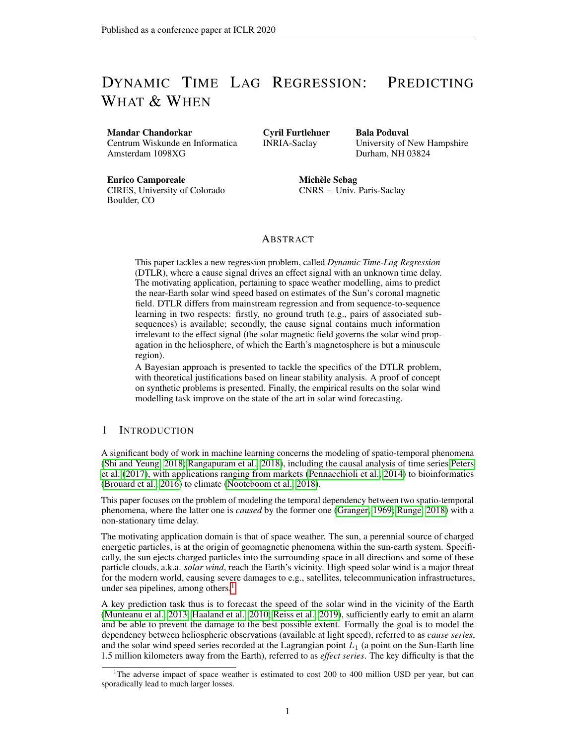material). The fact that **x** can influence  $y_i$  through predictor  $\hat{y}_i(\mathbf{x})$  even when  $\tau_i = 0$  reflects an indirect influence due to the auto-correlation of the  $y$  series. This influence comes with a higher variance, enforced by making  $\alpha_{ij}$  a decreasing function of  $|i - j|$ . More generally, a large value of  $\alpha_{ij}$  compared to  $\alpha_{ij}$  for  $i \neq j$  corresponds to a small auto-correlation time of the effect series.

#### 2.3 LEARNING CRITERION

The joint distribution is classically learned by maximizing the log likelihood of the data, which can here be expressed in closed form. Let us denote respectively the dataset and parameters as  $\{(x, y)\}\$ data and  $\theta = (\hat{y}, \hat{p}, \sigma, \alpha)$ . From Eq. (3) the conditional probability  $q_i(x, y) \stackrel{\text{def}}{=} P(\tau_i = 1|x, y)$  reads:

$$
q_i(\mathbf{x}, \mathbf{y}) = \frac{1}{Z(\mathbf{x}, \mathbf{y}|\theta)} \hat{p}_i(\mathbf{x}) \exp \ -\frac{1}{2\sigma^2} \sum_{j \ge T} \alpha_{j1} \ y_j - \hat{y}_j(\mathbf{x})^{-2} + \frac{1}{2} \sum_{j \ge T} \log(1 + \alpha_{j1}) \tag{5}
$$

with normalization constant

$$
Z(\mathbf{x}, \mathbf{y}|\theta) = \frac{X}{i2T} \hat{p}_i(\mathbf{x}) \exp \left(-\frac{1}{2\sigma^2} \frac{X}{j2T} \alpha_{j1} y_j - \hat{y}_j(\mathbf{x})\right)^2 + \frac{1}{2} \frac{X}{j2T} \log(1 + \alpha_{j1}).
$$

The log-likelihood then reads (intermediate calculations in supplementary material, appendix A):

$$
\mathcal{L}[\{(\mathbf{x}, \mathbf{y})\}_{\text{data}} | \theta] = -|\mathcal{T}| \log(\sigma) - \mathbb{E}_{\text{data}} \frac{1}{2\sigma^2} y_i - \hat{y}_i(\mathbf{x})^2 - \log Z(\mathbf{x}, \mathbf{y}|\theta) \tag{6}
$$

where  $E_{data}$  denotes averaging over the dataset. For notational simplicity, the time index t is omitted in the following and the empirical averaging on the data is noted  $E_{data}$ . The hyper-parameters  $\sigma$  and matrix  $\alpha$  of the model are obtained by optimizing  $\mathcal{L}$ :

$$
\frac{\sigma^2}{1 + \alpha_{ij}} = \frac{\mathbb{E}_{data} \ y_i - \hat{y}_i(\mathbf{x})^2 q_j(\mathbf{x}, \mathbf{y})}{\mathbb{E}_{data} \ q_j(\mathbf{x}, \mathbf{y})},\tag{7}
$$

In addition the optimal  $\hat{y}$  and  $\hat{p}$  reads:

$$
\hat{y}_i(\mathbf{x}) = \frac{\begin{bmatrix} 1 & \cdots & \cdots & \cdots & \cdots & \cdots & \cdots & \cdots & \cdots & \cdots & \cdots & \cdots & \cdots & \cdots & \cdots & \cdots & \cdots & \cdots & \cdots & \cdots & \cdots & \cdots & \cdots & \cdots & \cdots & \cdots & \cdots & \cdots & \cdots & \cdots & \cdots & \cdots & \cdots & \cdots & \cdots & \cdots & \cdots & \cdots & \cdots & \cdots & \cdots & \cdots & \cdots & \cdots & \cdots & \cdots & \cdots & \cdots & \cdots & \cdots & \cdots & \cdots & \cdots & \cdots & \cdots & \cdots & \cdots & \cdots & \cdots & \cdots & \cdots & \cdots & \cdots & \cdots & \cdots & \cdots & \cdots & \cdots & \cdots & \cdots & \cdots & \cdots & \cdots & \cdots & \cdots & \cdots & \cdots & \cdots & \cdots & \cdots & \cdots & \cdots & \cdots & \cdots & \cdots & \cdots & \cdots & \cdots & \cdots & \cdots & \cdots & \cdots & \cdots & \cdots & \cdots & \cdots & \cdots & \cdots & \cdots & \cdots & \cdots & \cdots & \cdots & \cdots & \cdots & \cdots & \cdots & \cdots & \cdots & \cdots & \cdots & \cdots & \cdots & \cdots & \cdots & \cdots & \cdots & \cdots & \cdots & \cdots & \cdots & \cdots & \cdots & \cdots
$$

$$
\hat{p}_i(\mathbf{x}) = \mathbb{E}_{data} q_i(\mathbf{x}, \mathbf{y}) \mathbf{x} \tag{9}
$$

where the above conditional empirical averaging operates as an averaging over samples close to x.

These are self-consistent equations, since  $q_i(\mathbf{x}, \mathbf{y})$  depends on the parameters  $\sigma^2$  and  $\alpha_{ij}$ ,  $\hat{\mathbf{y}}$  and  $\hat{\mathbf{p}}$ . The proposed algorithm detailed in section 4 implements the saddle point method defined from Eqs (7,5,8,9): alternatively, hyper-parameters  $\sigma$  and  $\alpha_{ij}$  are updated from Eq. (7) based on the current  $\hat{y}_i$ and  $\hat{p}_i$ ; and predictors  $\hat{y}_i$  and mixture weights  $\hat{p}_i$  are updated according to Eqs (8) and (9) respectively.

## 3 THEORETICAL ANALYSIS

The proposed DTLR approach is shown to be consistent and analyzed in the simple case where  $\alpha$  is a diagonal matrix ( $\alpha_{ij} = \alpha \delta_{ij}$ ).

#### 3.1 LOSS FUNCTION AND RELATED OPTIMAL PREDICTOR

Let us assume that the hyper-parameters of the model have been identified together with predictors  $\hat{y}_i(x)$  and weights  $\hat{p}_i(x)$ . These are leveraged to achieve the prediction of the effect series. For any given input **x**, the sought eventual predictor is expressed as  $(\hat{y}(x), \hat{f}(x))$  where  $\hat{f}(x)$  is the predicted time lag and  $\hat{y}(\mathbf{x})$  the predicted value. The associated  $L_2$  loss is:

$$
\mathcal{L}_2(\hat{y}, \hat{I}) = \mathbb{E}_{data} \left[ y_{\hat{I}(\mathbf{X})} - \hat{y}(\mathbf{x}) \right]^{2}.
$$
 (10)

Then it comes: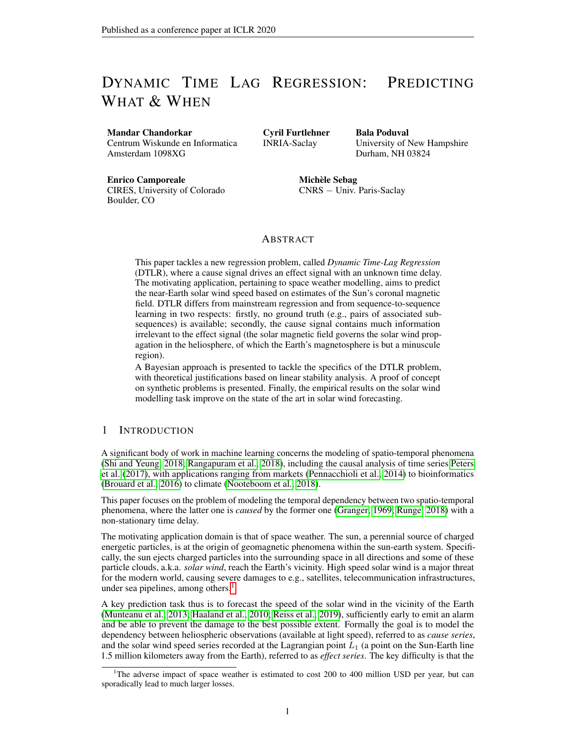**Proposition 3.1.** With same notations as in Eq. (3), with  $\alpha_{ij} = \alpha \delta_{ij}$ ,  $\alpha > 0$ , the optimal composite *predictor* (y ? , I? ) *is given by*

$$
y^{2}(\mathbf{x}) = \hat{y}_{1} \gamma(\mathbf{x}) (\mathbf{x}) \quad \text{with} \quad I^{2}(\mathbf{x}) = \arg \max_{i} \hat{p}_{i}(\mathbf{x}) ,
$$

**Proof.** In supplementary material, Appendix C.

#### 3.2 LINEAR STABILITY ANALYSIS

The saddle point (Eqs 7, 5, 8, 9) admits among others a degenerate solution, corresponding to  $\hat{p}_i(\mathbf{x}) = 1/|\mathcal{T}|, \alpha_{ij} = 0$  for all pairs  $(i, j)$ , with  $\sigma^2 = \sigma_0^2$ . Informally the model converges toward this degenerate trivial solution when there is not enough information to build specialized predictors  $\hat{y}_i$ .

Let us denote  $y_i^2(\mathbf{x}) = y_i - \hat{y}_i(\mathbf{x})^{-2}$  the square error made by predictor  $\hat{y}_i$  for **x**, and  $\sigma_0^2 = \frac{1}{|\mathcal{T}|} \mathsf{E}_{\textit{data}}$  $y_j^2(\mathbf{x})$ 

the average of MSE over the set of the predictors  $\hat{y}_i, i \in \mathcal{T}$ .

Let us investigate the conditions under which the degenerate solution may appear, by computing the Hessian of the log-likelihood and its eigenvalues. Under the simplifying assumption

i2T

$$
\alpha_{ij} = \alpha \delta_{ij},
$$

the model involves  $2|\mathcal{T}|$  functional parameters  $\hat{y}$  and  $\hat{p}$  and two hyper-parameters  $\alpha$  and  $r = \sigma^2/\sigma_0^2$ . After the computation of the Hessian (in supplementary material, Appendix B) the system involves three key statistical quantities, two global ones:

$$
C_1[\mathbf{q}] = \frac{1}{\sigma_0^2} \mathbb{E}_{\text{data}} \frac{\times}{q_i(\mathbf{x}, \mathbf{y})} q_i(\mathbf{x}, \mathbf{y}) \frac{\sigma_i^2(\mathbf{x})}{\sigma_i(\mathbf{x})}, \qquad (11)
$$

$$
C_2[\mathbf{q}] = \frac{1}{\sigma_0^4} \mathbb{E}_{\text{data}} \frac{\mathsf{h} \times}{\mathsf{h} \times \mathsf{h}} q_i(\mathbf{x}, \mathbf{y}) \quad y_i^2(\mathbf{x}) - \frac{\times}{\mathsf{h} \times \mathsf{h}} q_j(\mathbf{x}, \mathbf{y}) \quad y_j^2(\mathbf{x}) \quad \overset{2}{\longrightarrow} \tag{12}
$$

and a local  $|\mathcal{T}|$ -vector of components

$$
u_i[\mathbf{x},\mathbf{q}] = \frac{1}{\sigma_0^2} \mathsf{E}_{\text{data}} \, q_i(\mathbf{x},\mathbf{y}) \, u_i^2(\mathbf{x}) - \frac{\times}{i} q_i(\mathbf{x},\mathbf{y}) \, u_j^2(\mathbf{x}) \, \mathbf{x}.
$$

Up to a constant,  $C_1$  represents the covariance between the latent variables  $\{\tau_i\}$  and the normalized predictor errors.  $C_1$  smaller than one indicates a positive correlation between the latent variables and small errors; the smaller the better. For the degenerate solution, i.e.  $\mathbf{q} = \mathbf{q}_0$  uniform,  $C_1[\mathbf{q}_0] = 1$  and  $C_2[q_0]$  represents the default variability among the prediction errors.  $u_i[\mathbf{x}, \mathbf{q}]$  informally measures the quality of predictor  $\hat{y}_i$  relatively to the other ones at x. More precisely, a negative value of  $u_i$ [x, q] indicates that  $\hat{y}_i$  is doing better than average in the neighborhood of **x**.

At a saddle point the parameters are given by:

$$
\frac{\sigma^2}{\sigma_0^2} = \frac{|\mathcal{T}| - C_1[\mathbf{q}]}{|\mathcal{T}| - 1} \quad \text{and} \quad \alpha = \frac{|\mathcal{T}|}{|\mathcal{T}| - 1} \frac{1 - C_1[\mathbf{q}]}{C_1[\mathbf{q}]}
$$

.

Г

The predictors  $\hat{y}$  are decoupled from the rest whenever they are centered, which we assume. So the analysis can focus on the other parameters.

If  $\hat{p}$  is fixed a saddle point is stable iff

$$
C_2[{\bf q}] < 2C_1^2[{\bf q}] + \mathcal{O} \frac{1}{|T|} .
$$

In particular, the degenerate solution is unstable if

$$
C_2[\mathbf{q}_0] > 2 \; 1 - \frac{1}{|\mathcal{T}|} \; .
$$

Note that for  $y_i(\mathbf{x})$  iid centered with variance  $\sigma_0^2$  and relative kurtosis  $\kappa$  (conditionally to **x**) one has  $C_2 = (2 + \kappa)(1 - 1/|T|)$ . Therefore, whenever  $y_i^2(\mathbf{x})$  fluctuates and the relative kurtosis is non-negative, the degenerate solution is unstable and will thus be avoided.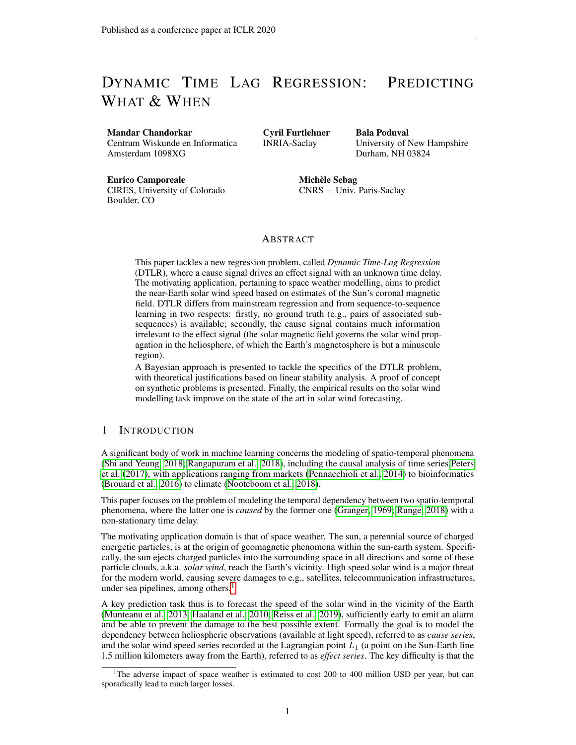If  $\hat{p}$  is allowed to evolve (after Eq. (9)) the degenerate trivial solution becomes unstable as soon as  $C_2[q_0]$  is non-zero, due to the fact that the gradient points in the opposite direction to  $\mathbf{u}(\mathbf{x})$  (with  $d\hat{\mathbf{p}}(\mathbf{x}) \propto -C_2[\mathbf{q}_0]\mathbf{u}(\mathbf{x})$ , thus rewarding the predictors with lowest errors by increasing their weights.

The system is then driven toward other solutions, among which the localized solutions of the form:

$$
\hat{p}_i(\mathbf{x}) = \delta_{i;I(\mathbf{x})},
$$

with an input dependent index  $I(x) \in \mathcal{T}$ . As shown (in supplementary material, Appendix C) the maximum likelihood localized solution also minimizes the loss function (Eq. 10). The stability of such localized solutions and the existence of other (non-localized) solutions is left for further work.

## 4 THE DTLR ALGORITHM

The DTLR algorithm learns both regression models  $\hat{y}(x)$  and  $\hat{p}(x)$  from series  $x_t$  and  $y_t$ , using alternate optimization of the model parameters and the model hyper-parameters  $\alpha$  and  $\sigma^2$ , after Eqs (7,5,8,9). The model search space is that of neural nets, parameterized by their weight vector  $\theta$ . The inner optimization loop updates  $\theta$  using mini-batch based stochastic gradient descent. At the end of each epoch, after all minibatches have been considered, the outer optimization loop computes hyper-parameters  $\alpha$  and  $\sigma^2$  on the whole data.

```
Initialization of \alpha and \sigmait \leftarrow 0;
while it < max do
        while epoch do
                  \theta \longleftarrow Optimize(\mathcal{L}(\theta, \alpha, \sigma^2));
        end
         \sigma^2 \longleftarrow \sigma_0^2 \frac{j \overline{I} j \quad C_1[\mathbf{q}]}{j \overline{I} j \quad 1};
         \alpha \longleftarrow \frac{jTj}{jTj-1} \frac{1-C_1[\mathbf{q}]}{C_1[\mathbf{q}]}\frac{C_1[q]}{C_1[q]};
end
```
**Result:** Model parameters  $\theta = {\hat{y}, \hat{p}}$ , hyper-parameters  $\alpha, \sigma^2$ Algorithm 1: DTLR algorithm

The algorithm code is available in supplementary material and will be made public after the reviewing period. The initialization of hyper-parameters  $\alpha$  and  $\sigma$  is settled using preliminary experiments (same setting for all considered problems:  $\alpha \sim U(0.75, 2)$ ;  $\sigma^2 \sim U(10^{-5}, 5)$ ).

The neural architecture implements predictors  $\hat{y}(x)$  and weights  $\hat{p}(x)$  on the top of a same feature extractor from input x. In the experiments, the architecture of the feature extractor is a 2-hidden layer fully connected network. On the top of the feature extractor are the single layer  $\hat{y}$  and  $\hat{p}$  models, each with |T| output neurons, with |T| the size of the chosen domain for the time lag.

## 5 EXPERIMENTAL SETTING

The goal of experimental validation is threefold. A first issue regards the accuracy of DTLR, measured from the mean absolute error (MAE), root mean square error (RMSE) and Pearson correlation of the learned DTLR model  $(y^{2}(x_t), I^{2}(x))$ . DTLR is compared to the natural baseline defined as the regressor with constant time lag,  $\hat{y}_{\bar{\Delta}}(x_t)$ , with being the average of all possible time lags in  $\mathcal{T}$ . The predictions of DTLR and the baseline are compared with the ground truth value of the effect series. However the predicted time lag  $I^?(\mathbf{x}_t)$  can only be assessed if the ground truth time-lag relationship is known. In order to do so, three synthetic problems of increasing difficulty are defined below.

Secondly, the stability and non-degeneracy of the learned model are assessed from the statistical quantities  $\sigma_0$  and  $C_1$  (section 3.2), compared to the degenerate solution  $\hat{p}_i(\mathbf{x}) = 1/|T|$ . For  $C_1 < 1$ , the model accurately specializes the found predictors  $\hat{p}_i$ .

Lastly, and most importantly, DTLR is assessed on the solar wind prediction problem, and compared to the best state of the art in space weather.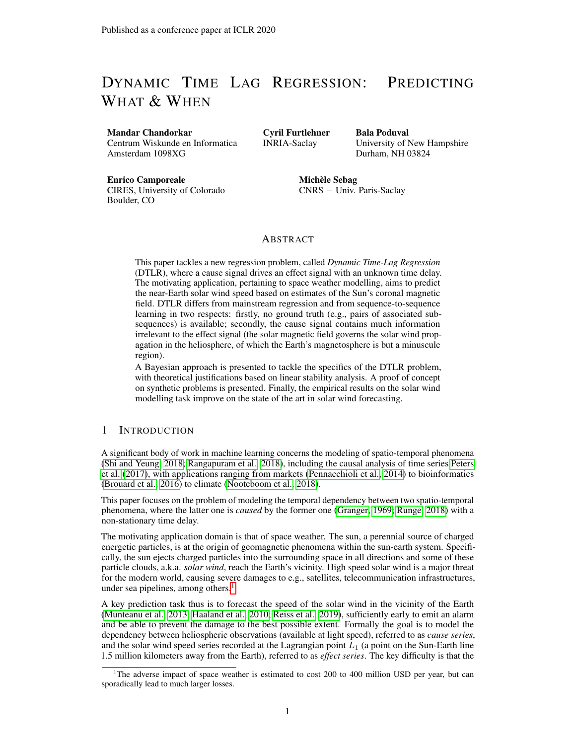Synthetic Problems. Four synthetic problems of increasing difficulty are generated using *Stochastic Langevin Dynamics*. In all problems, the cause signal  $\mathbf{x}_t \in \mathbb{R}^{10}$  and the effect signal  $y_t$  are generated as follows (with  $\eta = 0.02$ ,  $s^2 = 0.7$ ):

$$
\mathbf{x}_{t+1} = (1 - \eta)\mathbf{x}_t + \mathcal{N}(0, s^2)
$$
 (13)

$$
v_t = k||\mathbf{x}_t||^2 + c \tag{14}
$$

$$
y_{t+g(\mathbf{X}_t)} = f(v_t), \tag{15}
$$

with time-lag mapping  $g(\mathbf{x}_t)$  ranges in a time interval with width 20 (except for problem I where  $|T| = 15$ ). The complexity of the synthetic problems is governed by the amplitude and time-lag functions  $f$  and  $g$  (more in appendix, Table 2):

| Problem | $f(v_t)$           | $q(\mathbf{X}_t)$                                    | Other                              |
|---------|--------------------|------------------------------------------------------|------------------------------------|
|         | Vt                 |                                                      | $k=10: c=0$                        |
|         |                    | $100 = V_{m}$                                        | $k=1: c=10$                        |
| Ш       | $\sqrt{v_t^2+2ad}$ | $(\sqrt{v_m^2+2ad} \quad v) = a$                     | $k=5$ ; $a=5$ ; $d=1000$ ; $c=100$ |
|         | V+                 | $g(\mathbf{X}_t) = \exp(v_t) = (1 + \exp(v_t = 20))$ | $k=10$ : $c=40$                    |

Solar Wind Speed Prediction. The challenge of predicting solar wind speed from heliospheric data is due to the non-stationary propagation time of the solar plasma through the interplanetary medium. For the sake of a fair comparison with the best state of the art Reiss et al. (2019), the same experimental setting is used. The cause series  $x_t$  includes the solar magnetic (*flux tube expansion*, FTE: the rate at which the magnetic flux tubes expand between the photosphere and a reference height in the corona at 2.5 solar radii) and the coronal magnetic field strength estimates produced by the Current Sheet Source Surface model (Zhao and Hoeksema, 1995; Poduval and Zhao, 2014; Poduval, 2016), exploiting the hourly magnetogram data recorded by the *Global Oscillation Network Group* from 2008 to 2016. The effect series, the hourly solar wind data is available from the OMNI data base from the *Space Physics Data Facility* 5 . After domain knowledge, the time-lag ranges from 2 to 5 days, segmented in six-hour segments (thus  $|T| = 12$ ). For the *i*-th segment, the "ground truth" solar wind  $y_i$  is set to its median value over the 6 hours.

DTLR is validated using a nine fold cross-validation (Table 3 in appendix), where each fold is a continuous period corresponding to a solar rotation.6

## 6 EMPIRICAL VALIDATION

Table 1 summarizes the DTLR performance on the synthetic and solar wind problems (detailed results are provided in the appendix).

Table 1: DTLR performance: accuracy (MAE and RMSE, the lower the better; Pearson, the higher the better) and stability  $\sigma_0$  and  $C_1$  (the lower the better). For each indicator, is reported the DTLR value (9-fold CV), the baseline value and the time-lag error.

| Problem           | M A E            | R.M.S.E                           | Pearson Corr.    | $\sigma_0$ |      |
|-------------------|------------------|-----------------------------------|------------------|------------|------|
|                   | 8.82/21.79/0.021 | $\overline{12.35}$ / 28.79 / 0.26 | 0.98/0.87/       | 29.8       | 0.14 |
| H                 | 10.15/27.40/0.4  | 13.70 / 35.11 / 0.67              | 0.95/0.73/0.70   | 26.83      | 0 16 |
| Ш                 | 3.17/11.01/0.17  | 4.63/14.99/0.42                   | 0.98/0.79/0.84   | 11.84      | 0.09 |
|                   | 3.88/12.28/0.34  | 5.33 / 15.89 / 0.64               | 0.98 /0.79/ 0.81 | 12 18      | 0 13 |
| <b>Solar Wind</b> | $56.35/66.45/-$  | 74.20 / 84.53 / –                 | $0.6/0.41/-$     | 76 46      | በ ጸዓ |

### 6.1 SYNTHETIC PROBLEMS

On the easy Problem I, DTLR predicts the correct time lag for 97.93% of the samples. The higher value of  $\sigma_0$  in problems I and II compared to the other problems is explained from the higher variance in the effect series  $y(t)$ .

<sup>5</sup><https://omniweb.gsfc.nasa.gov>

<sup>6</sup> The Sun completes a rotation (or *Carrington rotation*) in approximately 27 days.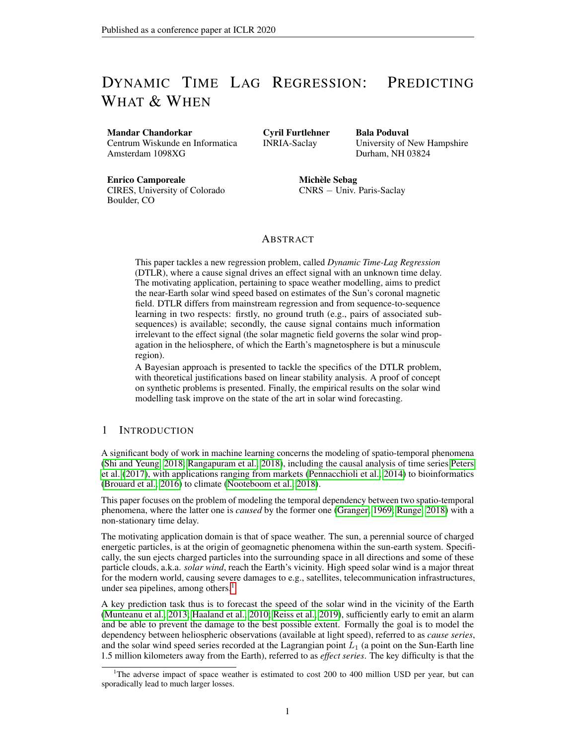On Problem II, DTLR accurately learns the inverse relationship between  $\mathbf{x}_t$ ,  $g(\mathbf{x}_t)$  and  $y_t$  on average. The time lag is overestimated in the regions with low time lag (with high velocity), which is blamed on the low sample density in this region, due to the data generation process. Interestingly, Problems III and IV are better handled by DTLR, despite a more complex dynamic time lag relationship. In both latter cases however, the model tends to under-estimate the time lag in the high time lag region and conversely to over-estimate it in the low time lag region.

### 6.2 THE SOLAR WIND PROBLEM

DTLR finds an operational solar wind model (Table 1), though the significantly higher difficulty of the solar wind problem is witnessed by the  $C_1$  value close to the degenerate value 1. The detailed comparison with the state of the art Reiss et al. (2019) (Fig. 1, Left) shows that DTLR improves on the current best state of the art (on all variants including ensemble approaches, and noting that median models are notoriously hard to beat). (Fig. 1, Right) shows the good correlation between the predicted solar wind<sup>7</sup> and the measured solar wind.

| Model                     | M.A.E  | R.M.S.E |
|---------------------------|--------|---------|
| WS                        | 74.09  | 85.27   |
| <b>DCHB</b>               | 83.83  | 103.43  |
| <b>WSA</b>                | 68.54  | 82.62   |
| Ensemble Median (WS)      | 71.52  | 83.36   |
| Ensemble Median (DCHB)    | 78.27  | 100.04  |
| Ensemble Median (WSA)     | 62.24  | 74.86   |
| Persistence (4 days)      | 130.48 | 161.99  |
| Persistence (27 days)     | 66.54  | 78.86   |
| <b>Fixed Lag Baseline</b> | 67.33  | 80.39   |
| <b>DTLR</b>               | 60.19  | 72.64   |



(a) Comparative assessment on the Solar Wind problem compared to the state of the art Reiss et al. (2019, Table 1)

(b) Scatter Chart (9 fold CV)

Figure 1: DTLR on the solar wind problem. Left: comparative quantitative assessment w.r.t. the state of the art (Carrington rotation 2077). Right: qualitative assessment of the prediction.

# 7 DISCUSSION AND PERSPECTIVES

The contribution of the paper is twofold. A new ML setting, Dynamic Time Lag Regression has been defined, aimed at the modelling of varying time-lag dependency between time series. The introduction of this new setting is motivated by an important scientific and practical problem from the domain of space weather, an open problem for over two decades.

Secondly, a Bayesian formalization has been proposed to tackle the DTLR problem, relying on a saddle point optimization process. A closed form analysis of the training procedure stability under simplifying assumptions has been conducted, yielding a practical alternate optimization formulation, implemented in the DTLR algorithm. This algorithm has been successfully validated on synthetic and real-world problems, although some bias toward the mean has been detected in some cases.

On the methodological side, this work opens a short term perspective (handling the bias) and a longer term perspective, extending the proposed nested inference procedure and integrating the model selection step within the inference architecture. The challenge is to provide the algorithm with the means of assessing online the stability and/or the degeneracy of the learning trajectory.

Regarding the motivating solar wind prediction application, a next step consists of enriching the data sources and the description of the cause series  $x_t$ , typically by directly using the solar images. Another perspective is to consider other applications of the general DTLR setting, e.g. considering fine-grained modelling of diffusion phenomena.

The predicted values, every 6 hours, are interpolated for comparison with the hourly measured solar wind.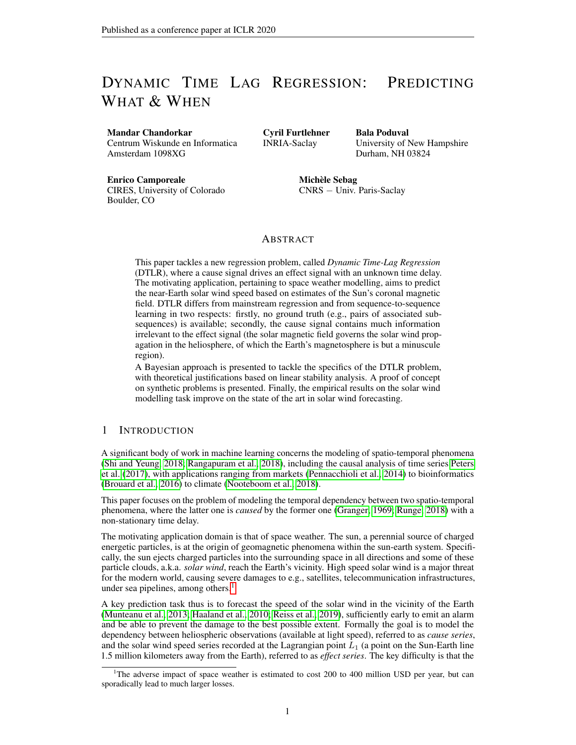## **REFERENCES**

- Dzmitry Bahdanau, Kyunghyun Cho, and Yoshua BengioY. Neural machine translation by jointly learning to align and translate. In *Proc. ICLR 2015*. 2015.
- Céline Brouard, Huibin Shen, Kai Dührkop, Florence d'Alché-Buc, Sebastian Böcker, and Juho Rousu. Fast metabolite identification with input output kernel regression. *Bioinformatics*, 32 (12):28–36, 2016. doi: 10.1093/bioinformatics/btw246. URL [https://doi.org/10.1093/](https://doi.org/10.1093/bioinformatics/btw246) [bioinformatics/btw246](https://doi.org/10.1093/bioinformatics/btw246).
- Paul Gaskell, Frank McGroarty, and Thanassis Tiropanis. Signal diffusion mapping: Optimal forecasting with time-varying lags. *Journal of Forecasting*, 35(1):70–85, 2015.
- C. W. J. Granger. Investigating causal relations by econometric models and cross-spectral methods. *Econometrica*, 37(3):424–438, 1969.
- Alex Graves. Generating sequences with recurrent neural networks. *CoRR*, abs/1308.0850, 2013. URL <http://arxiv.org/abs/1308.0850>.
- S. Haaland, C. Munteanu, and B. Mailyan. Solar wind propagation delay: Comment on minimum variance analysis-based propagation of the solar wind observations: Application to real-time global magnetohydrodynamic simulations by A. Pulkkinen and L. Raststatter. *Space Weather*, 8(6), 2010.
- Yoon Kim, Carl Denton, Luong Hoang, and Alexander M. Rush. Structured attention networks. In *Proc. ICLR 2017*. 2017.
- C. Munteanu, S. Haaland, B. Mailyan, M. Echim, and K. Mursula. Propagation delay of solar wind discontinuities: Comparing different methods and evaluating the effect of wavelet denoising. *Journal of Geophysical Research: Space Physics*, 118(7):3985–3994, 2013.
- P. D. Nooteboom, Q. Y. Feng, C. López, E. Hernández-García, and H. A. Dijkstra. Using network theory and machine learning to predict el niño. *Earth System Dynamics*, 9(3):969–983, 2018. doi: 10.5194/esd-9-969-2018. URL [https://www.earth-syst-dynam.net/9/969/](https://www.earth-syst-dynam.net/9/969/2018/) [2018/](https://www.earth-syst-dynam.net/9/969/2018/).
- D. Odstrčil. Modeling 3-d solar wind structure. *Advances in Space Research*, 32(4):497 506, 2003. ISSN 0273-1177. doi: https://doi.org/10.1016/S0273-1177(03)00332-6. URL [http://www.](http://www.sciencedirect.com/science/article/pii/S0273117703003326) [sciencedirect.com/science/article/pii/S0273117703003326](http://www.sciencedirect.com/science/article/pii/S0273117703003326). Heliosphere at Solar Maximum.
- D. Odstrčil and V. J. Pizzo. Three-dimensional propagation of coronal mass ejections (cmes) in a structured solar wind flow: 1. cme launched within the streamer belt. *Journal of Geophysical Research: Space Physics*, 104(A1):483–492, 1999a. doi: 10.1029/1998JA900019. URL [https:](https://agupubs.onlinelibrary.wiley.com/doi/abs/10.1029/1998JA900019) [//agupubs.onlinelibrary.wiley.com/doi/abs/10.1029/1998JA900019](https://agupubs.onlinelibrary.wiley.com/doi/abs/10.1029/1998JA900019).
- D. Odstrčil and V. J. Pizzo. Three-dimensional propagation of coronal mass ejections (cmes) in a structured solar wind flow: 2. cme launched adjacent to the streamer belt. *Journal of Geophysical Research: Space Physics*, 104(A1):493–503, 1999b. doi: 10.1029/1998JA900038. URL [https:](https://agupubs.onlinelibrary.wiley.com/doi/abs/10.1029/1998JA900038) [//agupubs.onlinelibrary.wiley.com/doi/abs/10.1029/1998JA900038](https://agupubs.onlinelibrary.wiley.com/doi/abs/10.1029/1998JA900038).
- D. Odstrčil, Z. Smith, and M. Dryer. Distortion of the heliospheric plasma sheet by interplanetary shocks. *Geophysical Research Letters*, 23(18):2521–2524, 1996. doi: 10.1029/ 96GL00159. URL [https://agupubs.onlinelibrary.wiley.com/doi/abs/10.](https://agupubs.onlinelibrary.wiley.com/doi/abs/10.1029/96GL00159) [1029/96GL00159](https://agupubs.onlinelibrary.wiley.com/doi/abs/10.1029/96GL00159).
- D. Odstrčil, P. Riley, and X. P. Zhao. Numerical simulation of the 12 may 1997 interplanetary cme event. *Journal of Geophysical Research: Space Physics*, 109(A2), 2004. doi: 10.1029/ 2003JA010135. URL [https://agupubs.onlinelibrary.wiley.com/doi/abs/10.](https://agupubs.onlinelibrary.wiley.com/doi/abs/10.1029/2003JA010135) [1029/2003JA010135](https://agupubs.onlinelibrary.wiley.com/doi/abs/10.1029/2003JA010135).
- Diego Pennacchioli, Michele Coscia, Salvatore Rinzivillo, Fosca Giannotti, and Dino Pedreschi. The retail market as a complex system. *EPJ Data Sci.*, 3(1):33, 2014.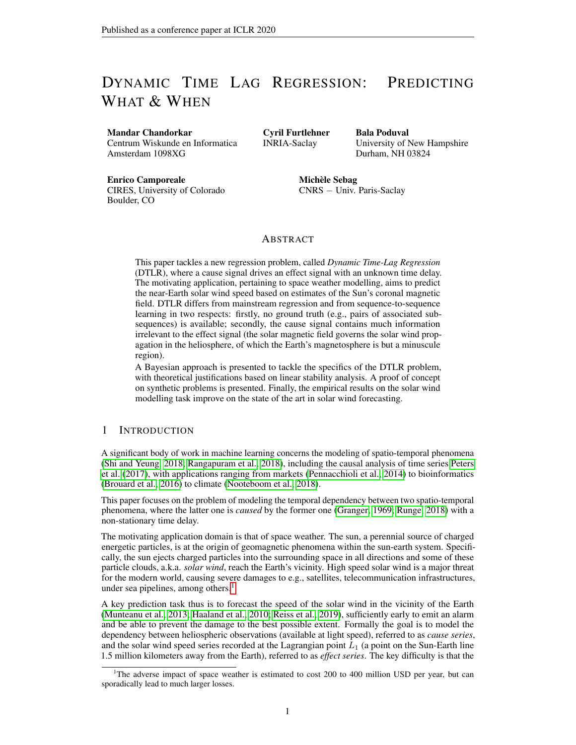Jonas Peters, Dominik Janzing, and Bernhard Schölkopf. *Elements of Causal Inference - Foundations and Learning Algorithms*. MIT Press, 2017.

- B. Poduval. Controlling Influence of Magnetic Field on Solar Wind Outflow: An Investigation Using Current Sheet Source Surface Model. *The Astrophysical Journal*, 827(1):L6, aug 2016. doi: 10.3847/2041-8205/827/1/l6. URL [https://iopscience.iop.org/article/10.](https://iopscience.iop.org/article/10.3847/2041-8205/827/1/L6/meta) [3847/2041-8205/827/1/L6/meta](https://iopscience.iop.org/article/10.3847/2041-8205/827/1/L6/meta).
- B. Poduval and X. P. Zhao. Validating Solar Wind Prediction Using the Current Sheet Source Surface Model. *The Astrophysical Journal*, 782(2):L22, jan 2014. doi: 10.1088/2041-8205/ 782/2/l22. URL [https://iopscience.iop.org/article/10.1088/2041-8205/](https://iopscience.iop.org/article/10.1088/2041-8205/782/2/L22/meta) [782/2/L22/meta](https://iopscience.iop.org/article/10.1088/2041-8205/782/2/L22/meta).
- Syama Sundar Rangapuram, Matthias W. Seeger, Jan Gasthaus, Lorenzo Stella, Yuyang Wang, and Tim Januschowski. Deep state space models for time series forecasting. In *NeurIPS 2018*, pages 7796–7805, 2018.
- Martin A. Reiss, Peter J. MacNeice, Leila M. Mays, Charles N. Arge, Christian Möstl, Ljubomir Nikolic, and Tanja Amerstorfer. Forecasting the ambient solar wind with numerical models. i. on the implementation of an operational framework. *The Astrophysical Journal Supplement Series*, 240(2):35, 2019.
- J. Runge. Causal network reconstruction from time series: From theoretical assumptions to practical estimation. *Chaos: An Interdisciplinary Journal of Nonlinear Science*, 28(7):075310, 2018. doi: 10.1063/1.5025050. URL <https://doi.org/10.1063/1.5025050>.
- H. Sakoe and S. Chiba. Dynamic programming algorithm optimization for spoken word recognition. *IEEE Transactions on Acoustics, Speech, and Signal Processing*, 26(1):43–49, 1978.
- Xingjian Shi and Dit-Yan Yeung. Machine learning for spatiotemporal sequence forecasting: A survey. *ArXiv*, abs/1808.06865, 2018.
- Ilya Sutskever, Oriol Vinyals, and Quoc V Le. Sequence to sequence learning with neural networks. In Z. Ghahramani, M. Welling, C. Cortes, N. D. Lawrence, and K. Q. Weinberger, editors, *Advances in Neural Information Processing Systems 27*, pages 3104–3112. Curran Associates, Inc., 2014.
- Ashish Vaswani, Noam Shazeer, Niki Parmar, Jakob Uszkoreit, Llion Jones, Aidan N Gomez, Ł ukasz Kaiser, and Illia Polosukhin. Attention is all you need. In I. Guyon, U. V. Luxburg, S. Bengio, H. Wallach, R. Fergus, S. Vishwanathan, and R. Garnett, editors, *Advances in Neural Information Processing Systems 30*, pages 5998–6008. Curran Associates, Inc., 2017.
- Y. M. Wang and Jr. Sheeley, N. R. Solar Wind Speed and Coronal Flux-Tube Expansion. *The Astrophysical Journal*, 355:726, Jun 1990. doi: 10.1086/168805.
- X Zhao and JT Hoeksema. Predicting the heliospheric magnetic field using the current sheet-source surface model. *Advances in Space Research*, 16(9):181–184, 1995.
- Wei-Xing Zhou and Didier Sornette. Non-parametric determination of real-time lag structure between two time series: The optimal thermal causal path method with applications to economic data. *Journal of Macroeconomics*, 28(1):195 – 224, 2006.

#### APPENDIX A LOG LIKELIHOOD OF THE LATENT MODEL (3)

#### A.1 DIRECT COMPUTATION

Due to the single effect constraint (4) the mixture model (3) can be expressed simply as

$$
P(\mathbf{y}|x) = \begin{cases} \n\frac{x}{i27} & \text{if } \frac{1 + \alpha_{ij}}{2\pi\sigma^2} e^{-\frac{1}{2}z(1 + ji) - y_j - \hat{y}_j(x)^{-2}} \\ \n\frac{x}{i27} & \text{if } \frac{1 + \alpha_{ij}}{2\pi\sigma^2} e^{-\frac{1}{2}z - ji - y_j - \hat{y}_j(x)^{-2}} \\ \n\frac{y}{i27} & \text{if } \frac{1 + \alpha_{ij}}{2\pi\sigma^2} e^{-\frac{1}{2}z - ji - y_j - \hat{y}_j(x)^{-2}} \\ \n\frac{y}{i27} & \text{if } \frac{1 + \alpha_{ij}}{2\pi\sigma^2} e^{-\frac{1}{2}z - ji - y_j - \hat{y}_j(x)^{-2}} \n\end{cases}
$$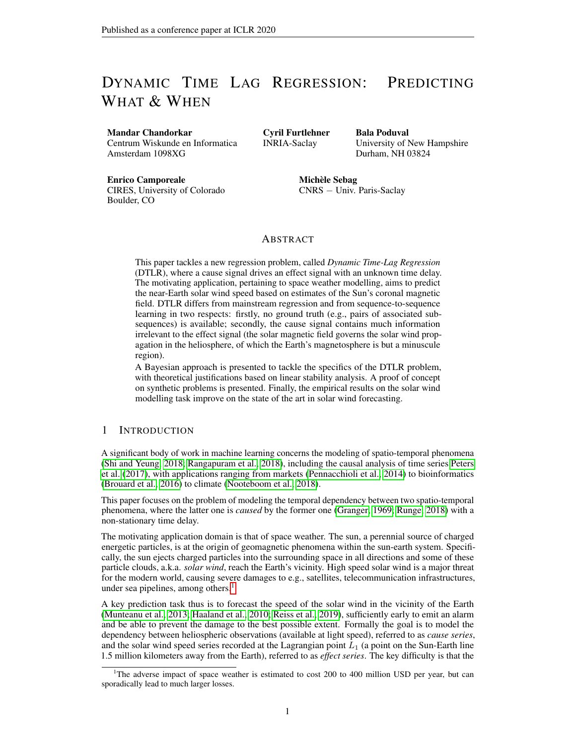Let  $\theta \stackrel{\text{def}}{=} (\hat{y}, \hat{p}, \sigma, \alpha)$  denote the parameters of the model and consider the probability that predictor  $\hat{y}_i$ is the good one conditionally to a pair of observation  $(x, y)$ :

$$
q_i(x, \mathbf{y}) = P(\tau_i = 1 | x, \mathbf{y})
$$

$$
= \frac{1}{Z(x, y|\theta)} \hat{p}_i(x) \exp \left(-\frac{1}{2\sigma^2} \frac{x}{\mu}\right) \alpha_{j1} y_j - \hat{y}_j(x)\right)^2 + \frac{1}{2} \frac{x}{\mu} \log(1 + \alpha_{j1})
$$

with

$$
Z(x, y|\theta) = \frac{X}{i2T} \hat{p}_i(x) \exp \left(-\frac{1}{2\sigma^2} \frac{X}{i2T} \alpha_{j1} y_j - \hat{y}_j(x)\right)^2 + \frac{1}{2} \frac{X}{i2T} \log(1 + \alpha_{j1}).
$$

This gives immediately

$$
\mathcal{L}[\{(x, \mathbf{y})\}_{\text{data}} | \theta] = -|\mathcal{T}| \log(\sigma) - \mathbb{E}_{\text{data}} \frac{\mathsf{h} \times \mathsf{h}}{\mathsf{h} \times \mathsf{h} \times \mathsf{h}} \frac{1}{2\sigma^2} y_i - \hat{y}_i(x)^{-2} - \log Z(x, \mathbf{y} | \theta) \frac{\mathsf{h}}{\mathsf{h} \times \mathsf{h} \times \mathsf{h}} \frac{1}{2\sigma^2} y_i - \hat{y}_i(x)^{-2} - \log Z(x, \mathbf{y} | \theta)
$$

#### A.2 LARGE DEVIATION ARGUMENT

Even though the log likelihood can be obtained by direct summation, for sake of generality we show how this can result from a large deviation principle. Assume that the number of learning samples tends to infinity, and so that in a small volume  $dv = dxdy$  around a given joint configuration  $(x, y)$ , the number of data  $N_{x,y}$  becomes large. Restricting the likelihood to this subset of the data yields the following:

$$
\mathcal{L}_{x,y} = \sum_{m=1 \ f \ (m)}^{N_{x,y}} \sum_{j \geq T} \frac{\hat{p}(\tau^{(m)}|x)}{\sqrt{2\pi} \sigma_j(\tau^{(m)})} \exp \ -\frac{1}{2} \frac{X}{i2T} \frac{y_i - \hat{y}_i(x)^2}{\sigma_j(\tau^{(m)})^2}
$$

.

.

Upon introducing the relative frequencies:

$$
q_i(x, \mathbf{y}) = \frac{1}{N_{x,y}} \sum_{m=1}^{N_{x,y}} \tau_i^{(m)} \quad \text{satisfying} \quad\n\begin{aligned}\n&\times \\
&q_i(x, \mathbf{y}) = 1,\n\end{aligned}
$$

the sum over the  $\tau_i^{(m)}$  is replaced by a sum over these new variables, with the summand obeying a large deviation principle

$$
\mathcal{L}_{X,Y} \asymp \int_{q}^{q} \exp -N_{X,Y}\mathcal{F}_{X,Y} q
$$

where the rate function reads

$$
\mathcal{F}_{\mathbf{x},\mathbf{y}}\left|\mathbf{q}\right| = |T|\log(\sigma) + \sum_{i\geq T}^{K} y_i - \hat{y}_i(x)\left|\frac{1}{2}\frac{1}{\sigma^2}\right| + \frac{1}{2\sigma^2}\frac{1}{\sigma^2}\frac{1}{\sigma^2}\log(1+\alpha_{ji}) + q_i\log\frac{q_i}{\hat{p}_i}.
$$

 $\Box$ 

Taking the saddle point for  $q_i$  yield as a function of  $(x, y)$  expression (7). Inserting this into F and taking the average over the data set yields the log likelihood  $(5)$  with opposite sign:

$$
\mathcal{L}[\{(x, y)\}_{\text{data}} | \theta] = - \mathbb{E}_{\text{data}} \mathcal{F}_{x, y} \mathbf{q}(x, y) .
$$

#### A.3 SADDLE POINT EQUATIONS

Now we turn to the self-consistent equations relating the parameters  $\theta$  of the model at a saddle point of the log likelihood function. First, the optimization of the predictors  $\hat{y}$  yields:

$$
\frac{\partial \mathcal{L}}{\partial \hat{y}_i(x)} = \frac{1}{\sigma^2} \mathsf{E}_{\text{data}}^{-1} y_i - \hat{y}_i(x) \quad 1 + \sum_{j \geq T} \alpha_{ij} q_j(x, \mathbf{y}) x^{\top}
$$

Then the optimization of  $\hat{p}$  gives:

$$
\frac{\partial \mathcal{L}}{\partial \hat{p}_i(x)} = \mathbb{E}_{data} \frac{q_i(x, \mathbf{y})}{\hat{p}_i(x)} - \lambda(x) x^{\top},
$$

$$
= \frac{1}{\hat{p}_i(x)} \mathbb{E}_{data} q_i(x, \mathbf{y}) x^{\top} - \lambda(x)
$$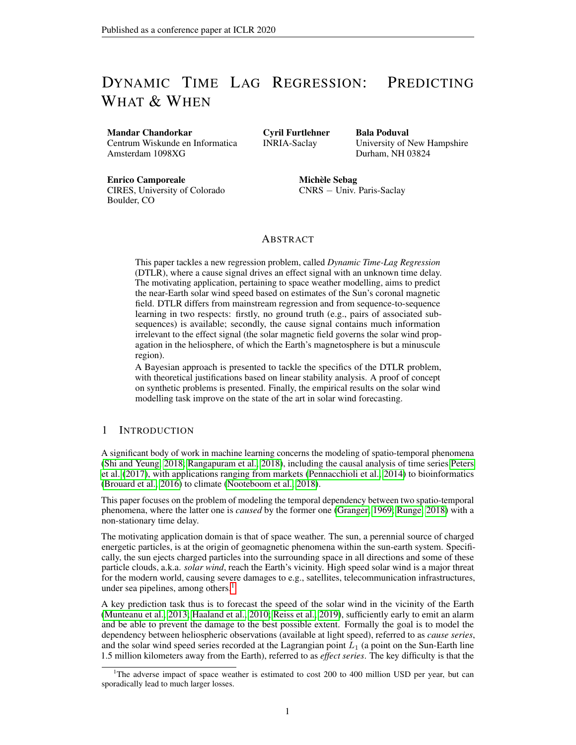with  $\lambda(x)$  a Lagrange multiplier to insure that  $\int_{i} \hat{p}_i(x) = 1$  This gives

$$
\hat{p}_i(x) = \frac{1}{\lambda(x)} \mathbb{E}_{data} \big|_{q_i(x, \mathbf{y})}^{\mathsf{u}} x
$$

Hence

$$
\frac{\chi}{i2\tau} \hat{p}_i(x) = \frac{1}{\lambda(x)} = 1 \qquad \forall x
$$

in order to fulfill the normalization constraint, yielding finally expression (9). Finally the optimization of  $\alpha$  reads:

$$
\frac{\partial \mathcal{L}}{\partial \alpha_{ij}} = \frac{1}{2(1 + \alpha_{ij})} \mathbb{E}_{\text{data}} q_j(x, \mathbf{y}) - \frac{1}{2\sigma^2} \mathbb{E}_{\text{data}} y_i - \hat{y}_i(x)^2 q_j(x, \mathbf{y}).
$$

# APPENDIX B PROOF OF PROPOSITION 3.1

Given  $I(x)$  a candidate index function we associate the point-like measure

$$
p_i(x) = \delta_{i;I(x)}.
$$

Written in terms of  $p$  the loss function reads

$$
\mathcal{L}_2(\hat{y}, p) = \mathbb{E}_{x, y} \left[ \begin{array}{cc} h \times \\ p_i(x) & y_i - \hat{y}(x) \end{array} \right]^2.
$$

Under (3) (with  $\alpha_{ij} = \alpha \delta_{ij}$ ) the loss is equal to

$$
\mathcal{L}_2(\hat{y}, p) = \mathbb{E}_x \frac{h \times p_i(x)}{i2\tau} \hat{y}_i(x) - \hat{y}(x) \frac{2}{\tau} - \hat{p}_i(x) \frac{\alpha \sigma^2}{1 + \alpha} + \sigma^2
$$

 $\ddot{\phantom{0}}$ 

The minimization w.r.t.  $\hat{y}$  yields

$$
\hat{y}(x) = \sum_{i \geq T} p_i(x)\hat{y}_i(x). \tag{16}
$$

In turn, as a function of  $p_i$  the loss being a convex combination, its minimization yields

$$
p_i(x) = \delta_{i,i(x)},\tag{17}
$$

$$
I(x) = \underset{i \geq T}{\arg \min} \quad \hat{y}_i(x) - \hat{y}(x)^{-2} - \hat{p}_i(x) \frac{\alpha \sigma^2}{1 + \alpha} \quad . \tag{18}
$$

Combining these equations (16,17,18) we get

$$
I(x) = \underset{i \geq T}{\arg \max} \ \hat{p}_i(x) \ ,
$$

which concludes the proof.

# APPENDIX C STABILITY ANALYSIS

The analysis is restricted for simplicity to the case  $\alpha_{ij} = \alpha \delta_{ij}$ . The log likelihood as a function of  $r = \frac{\sigma^2}{\sigma_0^2}$  and  $\beta = \frac{\alpha}{r}$  after inserting the optimal  $\mathbf{q} = \mathbf{q}(x, \mathbf{y})$  reads in that case

$$
\mathcal{L}(r,\beta) = -\frac{|\mathcal{T}|}{2}\log(r) - \frac{|\mathcal{T}|}{2r} + \frac{1}{2}\log(1+r\beta) + \mathbb{E}_{data}\log(Z) - \lambda(x)\sum_{i\geq T} \hat{p}_i(x)
$$

with

$$
Z = \sum_{i}^{X} \hat{p}_i(x) \exp \left(-\frac{\beta}{2\sigma_0^2} y_i^2(x)\right),
$$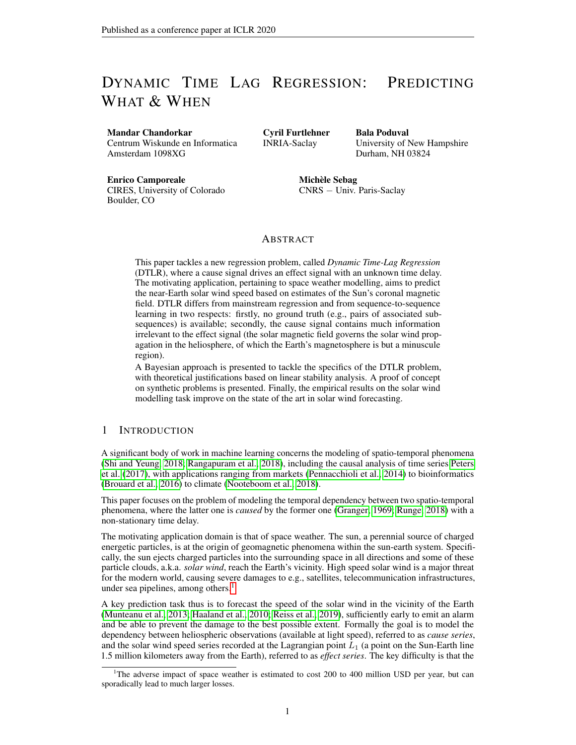and where  $\lambda(x)$  is a Lagrange multiplier which has been added to impose the normalization of  $\hat{p}$ . The gradient reads

$$
\frac{\partial \mathcal{L}}{\partial r} = \frac{1}{2r^2} |\mathcal{T}| (1 - r) + \frac{\beta r^2}{1 + \beta r} ,
$$

$$
\frac{\partial \mathcal{L}}{\partial \beta} = \frac{r}{2(1 + r\beta)} - \frac{1}{2} C_1[\mathbf{q}],
$$

$$
\frac{\partial \mathcal{L}}{\partial \hat{y}_i(x)} = \frac{1}{\sigma^2} \mathbb{E}_{data} \quad y_i - \hat{y}_i(x) \quad 1 + \alpha q_i(x, \mathbf{y}) \quad x .
$$

$$
\frac{\partial \mathcal{L}}{\partial \hat{p}_i(x)} = \frac{\mathbb{E}_{data} \quad q_i(x, \mathbf{y}) | x}{\hat{p}_i(x)} - \lambda(x),
$$

with

$$
C_1[\mathbf{q}] = \frac{1}{\sigma_0^2} \mathsf{E}_{\text{data}} \frac{\times}{q_i(x, \mathbf{y})} q_i^2(x) ,
$$

This leads to the following relation at the saddle point:

$$
r = \frac{|\mathcal{T}| - C_1[\mathbf{q}]}{|\mathcal{T}| - 1},
$$

$$
\alpha = \frac{|\mathcal{T}|}{|\mathcal{T}| - 1} \frac{1 - C_1[\mathbf{q}]}{C_1[\mathbf{q}]},
$$

$$
\theta_i(x) = \frac{\mathbb{E}_{data} y_i \, 1 + \alpha q_i(x, \mathbf{y})}{\mathbb{E}_{data} \, 1 + \alpha q_i(x, \mathbf{y}) \, x}.
$$

$$
\hat{p}_i(x) = \mathbb{E}_{data} q_i(x, y) | x .
$$

Let us now compute the Hessian. It is easy to see that the block corresponding to the predictors  $\hat{y}$ decouples from the rest as soon as these predictors are centered.

Denoting

$$
C_2[\mathbf{q}] = \frac{1}{\sigma_0^4} \mathsf{E}_{\text{data}} \frac{\mathsf{h} \times}{q_i(x, \mathbf{y})} \quad y_i^2(x) - \frac{\mathsf{h} \times q_j(x, \mathbf{y})}{q_j(x, \mathbf{y})} \quad y_j^2(x) \quad \overset{\mathbf{1}}{=} \, ,
$$

we have

$$
\frac{\partial^2 \mathcal{L}}{\partial r^2} = \frac{1}{2r^2} -|\mathcal{T}| + 2\frac{|\mathcal{T}|}{|\mathcal{T}| - 1} C_1[\mathbf{q}] - 1 - \beta^2 C_1^2[\mathbf{q}]
$$

$$
\frac{\partial^2 \mathcal{L}}{\partial r \partial \beta} = \frac{1}{2r^2} C_1^2[\mathbf{q}]
$$

$$
\frac{\partial^2 \mathcal{L}}{\partial \beta^2} = \frac{1}{4} C_2[\mathbf{q}] - 2C_1^2[\mathbf{q}]
$$

$$
\frac{\partial^2 \mathcal{L}}{\partial \beta_i(x) \partial \beta_j(x)} = -\frac{\mathbb{E}_{data} q_i(x, \mathbf{y}) q_j(x, \mathbf{y}) |x}{\hat{p}_i(x) \hat{p}_j(x)}
$$

$$
\frac{\partial^2 \mathcal{L}}{\partial r \partial \hat{p}_i(x)} = 0
$$

$$
\frac{\partial^2 \mathcal{L}}{\partial \beta \partial \hat{p}_i(x)} = -\frac{u_i[x, \mathbf{q}]}{2\hat{p}_i(x)},
$$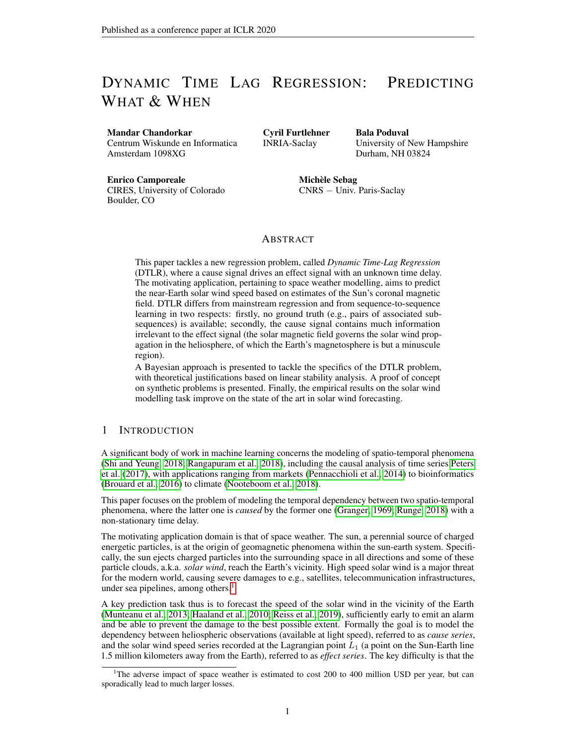where

$$
u_i[x, \mathbf{q}] \stackrel{\text{def}}{=} \frac{1}{\sigma_0^2} \mathsf{E}_{\text{data}} \frac{\mathsf{h}}{q_i(x, \mathbf{y})} \quad y_i^2(x) - \frac{\times}{\int z \tau} q_i(x, \mathbf{y}) \quad y_j^2(x) \mid x.
$$

There are two blocks in this Hessian, the one corresponding to r and  $\beta$  and the one corresponding to derivatives with respect to  $\hat{p}_i$ . The stability of the first one depends on the sign of  $C_2[q] - 2C_1^2[q]$ for  $|T|$  large while the second block is always stable as being an average of the exterior product of the vector  $(q_1(x, y)/\hat{p}_1(x), \ldots, q_{\text{IT}}/(x, y)/\hat{p}_{\text{IT}}(x))$  by itself. At the degenerate point  $\alpha = 0, r = 1$ ,  $\hat{p}_i = 1/|T|$  the Hessian simplifies as follows. Denote

$$
d\eta = d\mathbf{r}\mathbf{e}_1 + d\beta \mathbf{e}_2 + \int_{i27}^{2} d\hat{p}_i(x) \mathbf{e}_{i+2}(x)
$$

a given vector of perturbations, decomposed onto a set of unit tangent vectors,  ${e_1}$  and  ${e_2}$  being respectively associated to r and  $\beta$ , while  $e_i(x)$  associated to  $\hat{p}_i(x)$  for all  $i \in \mathcal{T}$  and  $x \in \mathcal{X}$ . Denote

$$
\mathbf{u} = \frac{\times}{i2\tau} d x u_i[x] \mathbf{e}_i(x)
$$

$$
\mathbf{v}(x) = \frac{\times}{i2\tau} \mathbf{e}_i(x)
$$

with

$$
C_2 = \frac{1}{|\mathcal{T}|\sigma_0^4} \mathsf{E}_{\text{data}} \frac{\mathsf{h}\times}{i2\tau} \quad y_i^2(x) - \frac{1}{|\mathcal{T}|} \sum_{j\geq T} y_j^2(x)^{-2}
$$

$$
u_i[x] = \frac{1}{\sigma_0^2} \mathsf{E}_{\text{data}} \quad y_i^2(x) - \sigma_0^2 | x .
$$

.

 $\overline{z}$ 

With these notations the Hessian reads:

$$
H = \frac{1}{2} - |\mathcal{T}| \mathbf{e}_1 \mathbf{e}_1^t + \mathbf{e}_1 \mathbf{e}_2^t + \mathbf{e}_2 \mathbf{e}_1^t + \frac{C_2}{2} - 1 \mathbf{e}_2 \mathbf{e}_2^t - \mathbf{u} \mathbf{e}_2^t - \mathbf{e}_2 \mathbf{u}^t - \alpha x \mathbf{v}(x) \mathbf{v}^t(x).
$$

In fact we are interested in the eigenvalues of  $H$  in the subspace of deformations which conserve the norm of  $\hat{p}$ , i.e. orthogonal to  $v(x)$ , thereby given by

$$
\eta = \eta_1 \mathbf{e}_1 + \eta_2 \mathbf{e}_2 + \eta_3 \mathbf{u}.
$$

In this subspace the Hessian reads

$$
H = \frac{1}{2} \begin{matrix} 2 \\ 6 \\ 2 \\ 4 \end{matrix} \quad 1 \quad 0 \quad 3
$$
  
\n
$$
H = \frac{1}{2} \begin{matrix} 2 \\ 6 \\ 2 \\ 4 \end{matrix} \quad 1 \quad \frac{C_2}{2} - 1 \quad -M|\mathcal{T}|C_2 \begin{matrix} 7 \\ 7 \\ 7 \\ 2 \end{matrix},
$$
  
\n
$$
0 \quad -M|\mathcal{T}|C_2 \quad 0
$$

where  $M$  is the number of data points, resulting from the fact that

$$
\begin{aligned}\n&\times \quad \frac{Z}{2} \, dx u_i[x]^2 = \frac{M}{\sigma_0^4} \mathsf{E}_{\text{data}} \, dy_i^2(x) - \sigma_0^2 \, dz_i \\
&= M C_2,\n\end{aligned}
$$

because  $E_{data}(\cdot|x)$  as a function of x is actually a point-wise function on the data. If  $|u|^2 > 0$  or if  $|u| = 0$  and  $1 + |\mathcal{T}|(C_2/2 - 1) > 0$  there is at least one positive eigenvalue. Let be such an eigenvalue. After eliminating dr and  $d\beta$  from the eigenvalue equations in d $\eta$ , the deformation along this mode verifies

$$
d\eta \propto \mathbf{e}_1 + (|\mathcal{T}| + )\mathbf{e}_2 - M|\mathcal{T}|(|\mathcal{T}| + )C_2 \mathbf{u},
$$

which corresponds to increasing r and  $\alpha$  while decreasing for each x the  $\hat{p}_i$  having the highest mean relative error  $u_i[x]$ .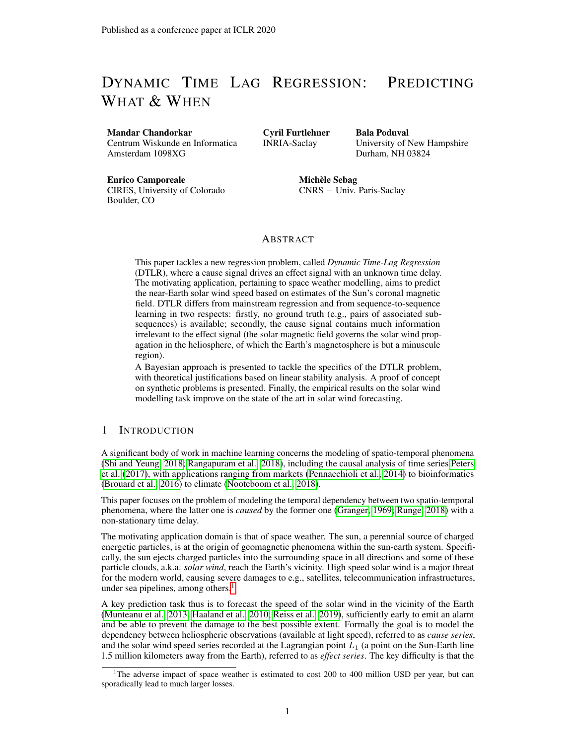Concerning solutions for which

$$
\hat{p}_i(x) = \delta_{i\hat{I}(x)}
$$

is concentrated on some index  $\hat{I}(x)$ , the analysis is more complex. In that case  $C_2[\mathbf{p}] = 0$  and  $C_1[\mathbf{p}] > 0$ . The  $(r, \beta)$  sector has 2 negative eigenvalues, while the  $\hat{\mathbf{p}}$  block is (−) a covariance matrix, so it has as well negative eigenvalues. The coupling between these two blocks could however in principle generate in some cases some instabilities.

Still, the log likelihood of such solutions reads

$$
\mathcal{L} = -\frac{|\mathcal{T}|}{2} \log(\sigma^2) + \frac{1}{2} \log(1+\alpha) - \frac{1}{2\sigma^2} \mathbb{E}_{data} \frac{h \times h}{i2\tau} y_i^2(x) - \frac{\alpha}{2\sigma^2} \mathbb{E}_{data} \frac{h}{y_{I(x)}^2(x)} \frac{1}{i2\sigma^2}
$$

so we get the following optimal solution

$$
\sigma^{2} = \frac{1}{|\mathcal{T}|} \mathbb{E}_{data} \frac{h \times h}{i2\tau}
$$
\n
$$
\frac{1}{1 + \alpha} = \frac{\mathbb{E}_{data} \frac{y_{I(x)}^{2}}{y_{I(x)}^{2}}}{\sigma^{2}},
$$
\n
$$
I(x) = \underset{i2\tau}{\text{argmin}} \mathbb{E}_{data} \frac{h}{y_{I}^{2}(x)} |x|.
$$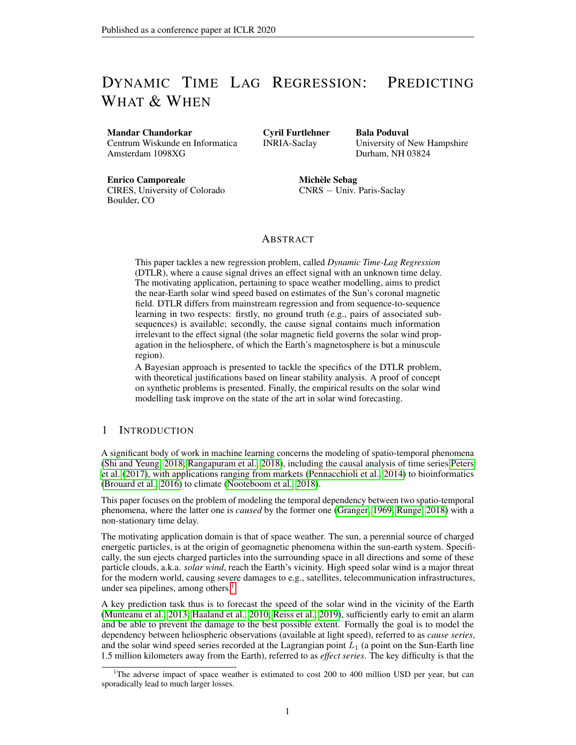

Figure 2: Geometry of the CSSS Model (Zhao and Hoeksema, 1995). The spherical surface with radius  $R_{CD}$  is the cusp surface, representing the locus of cusp points of helmet streamers and the location of the inner corona. The source surface (radius  $R_{SS}$ ) is free to be placed anywhere outside the cusp surface. Figure reproduced from Zhao and Hoeksema (1995).

# APPENDIX D EXPERIMENTS: ADDITIONAL DETAILS

Here we provide some additional details and context to the experimental validation of the DTLR methodology described in section 5. Table 2 provides some information about the datasets used in the synthetic and solar wind prediction problems<sup>8</sup>. Sections D.1.1 and D.1.2 give additional plots for evaluating the experimental results.

For the solar wind prediction task, the solar wind data was mapped into standardized Gaussian space using a quantile-quantile and inverse probit mapping. Nine fold cross-validation was performed using splits as specified in table 3. To compare the DTLR results with the state of the art solar wind forecasting, we used results from Reiss et al. (2019, Table 1). Since Reiss et al. (2019) compared the various forecasting methods on only one solar rotation (first row of table 3), comparing these results with DTLR can be considered as a preliminary examination. Nevertheless, the results presented in table 1a show encouraging signs for the competitiveness and usefulness of the DTLR method.

It is well-established that the solar wind speed observed near the Earth's orbit (at the L1 Lagrange point about a million kilometers upstream solar wind) bears an inverse correlation with the rate (FTE) at which the magnetic flux tubes expand between the photosphere and a reference height called the source surface, typically placed at 2.5 solar radii in many coronal models (Wang and Sheeley, 1990). That is, regions of the Sun with smaller FTE give rise to fast wind and regions with larger values of FTE emanate slow solar wind. This inverse correlation forms the basis of the current solar wind prediction techniques (Poduval and Zhao, 2014; Poduval, 2016) including the WSA-ENLIL model (Wang and Sheeley, 1990; Odstrčil et al., 1996; Odstrčil and Pizzo, 1999a;b; Odstrčil, 2003; Odstrčil et al., 2004) of NOAA/SWPC. Mathematically, FTE is defined as:

$$
FTE = \frac{R}{R_{ss}}^2 \frac{B_r(phot)}{B_r(ss)}
$$
(19)

where,  $B_r(phot)$  and  $B_r(ss)$  are the radial component of magnetic fields at the photosphere and the source surface, and R and  $R_{ss}$  are the respective radii. The coronal magnetic field is computed using CSSS model, the geometry of which is shown in figure 2, by extrapolating the photospheric magnetic field measured by various ground based observatories and spacecraft. For the present work,

<sup>&</sup>lt;sup>8</sup>In the solar wind problem, the training and test data sizes correspond to one cross-validation split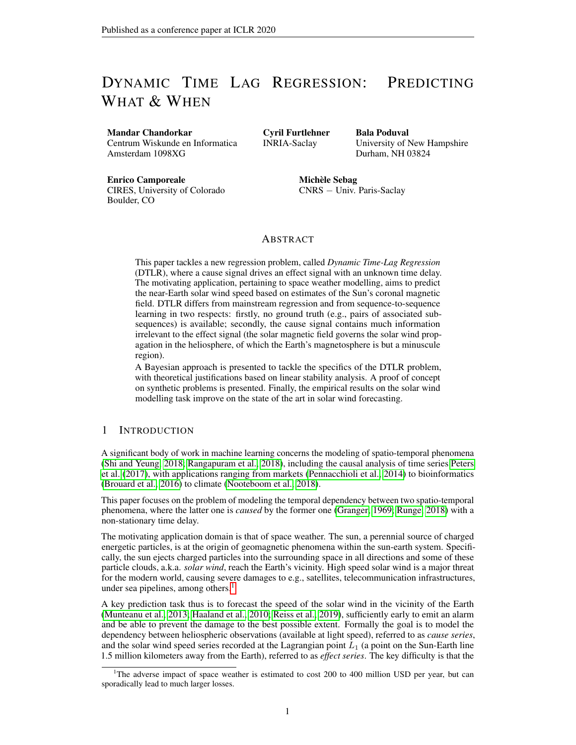we used the photospheric field measured using the Global Oscillation Network Group (GONG), a network of ground based solar observatories over different places on the globe.

| Problem           | # train | # test | đ.  | . I |
|-------------------|---------|--------|-----|-----|
|                   | 10,000  | 2,000  | 10  | 15  |
| П                 | 10,000  | 2,000  | 10  | 20  |
| Ш                 | 10,000  | 2,000  | 10  | 20  |
| IV                | 10,000  | 2,000  | 10  | 20  |
| <b>Solar Wind</b> | 77,367  | 2,205  | 374 | 12  |
|                   |         |        |     |     |

Table 2: Synthetic and Real-World Problems

| Table 3: Cross validation splits used to evaluate DTLR on the solar wind forecasting task |  |
|-------------------------------------------------------------------------------------------|--|
|-------------------------------------------------------------------------------------------|--|

| Split Id | <b>Carrington Rotation</b> | <b>Start</b>        | End                 |
|----------|----------------------------|---------------------|---------------------|
|          | 2077                       | 2008/11/20 07:00:04 | 2008/12/17 14:38:34 |
|          | 2090                       | 2009/11/09 20:33:43 | 2009/12/07 04:03:59 |
| 3        | 2104                       | 2010/11/26 17:32:44 | 2010/12/24 01:15:56 |
| 4        | 2117                       | 2011/11/16 07:04:41 | 2011/12/13 14:39:28 |
| 5        | 2130                       | 2012/11/04 20:39:43 | 2012/12/02 04:06:23 |
| 6        | 2143                       | 2013/10/25 10:17:52 | 2013/11/21 17:36:35 |
|          | 2157                       | 2014/11/11 07:09:56 | 2014/12/08 14:41:02 |
| 8        | 2171                       | 2015/11/28 04:09:27 | 2015/12/25 11:53:33 |
| 9        | 2184                       | 2016/11/16 17:41:04 | 2016/12/14 01:16:43 |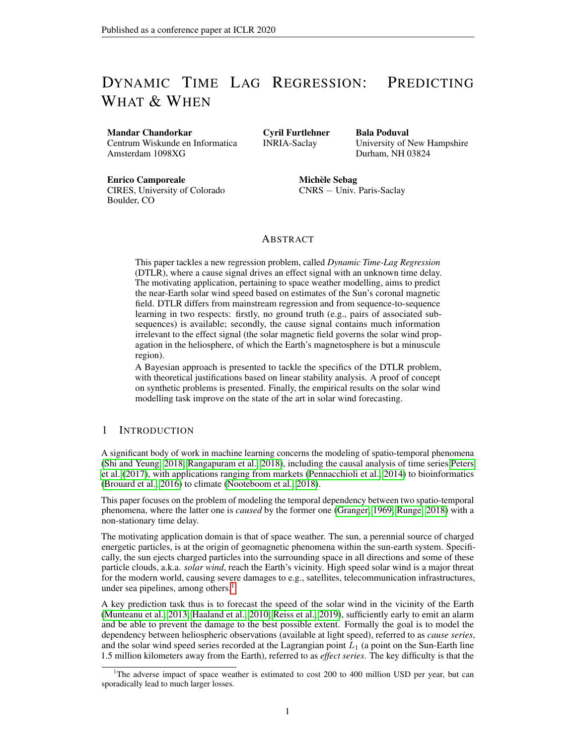# D.1 SUPPLEMENTARY PLOTS

# D.1.1 SYNTHETIC PROBLEMS



(a) Problem II, Goodness of fit, Output  $y(x)$ 



(c) Problem II, Error of time lag prediction



(b) Problem II, Goodness of fit, Time lag  $(t)$ 



(d) Problem II, Output vs Time Lag Relationship

200 300 400 Output

Figure 3: Problem II, Results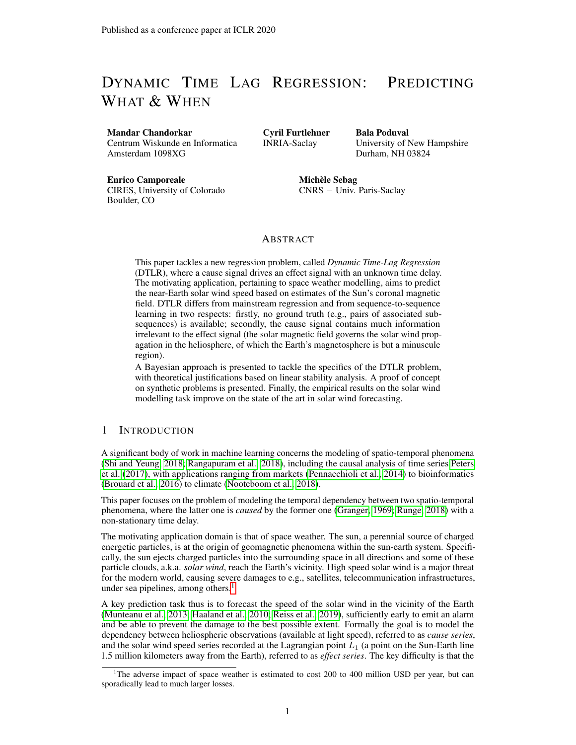

(a) Problem III, Goodness of fit, Output  $y(x)$ 



(c) Problem III, Error of time lag prediction



(b) Problem III, Goodness of fit, Time lag (t)



(d) Problem III, Output vs Time Lag Relationship

Figure 4: Problem III, Results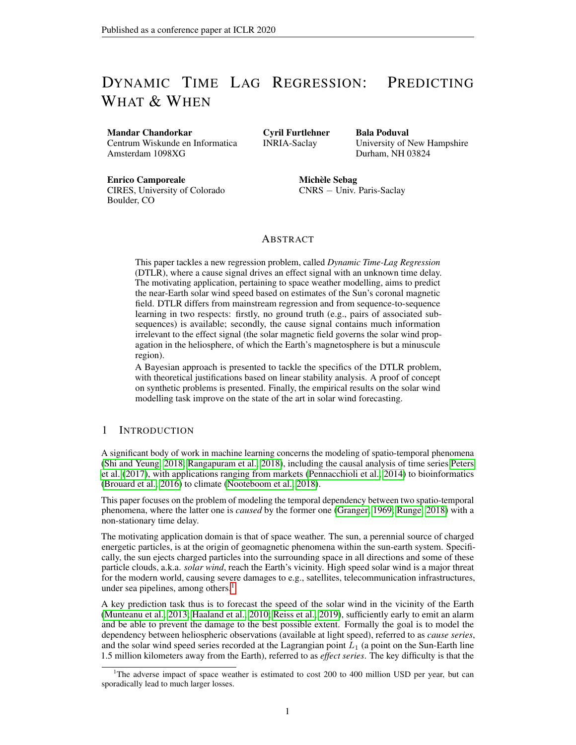

(a) Problem IV, Goodness of fit, Output  $y(x)$ 



(c) Problem IV, Error of time lag prediction



(b) Problem IV, Goodness of fit, Time lag (t)



(d) Problem IV, Output vs Time Lag Relationship

Figure 5: Problem IV, Results